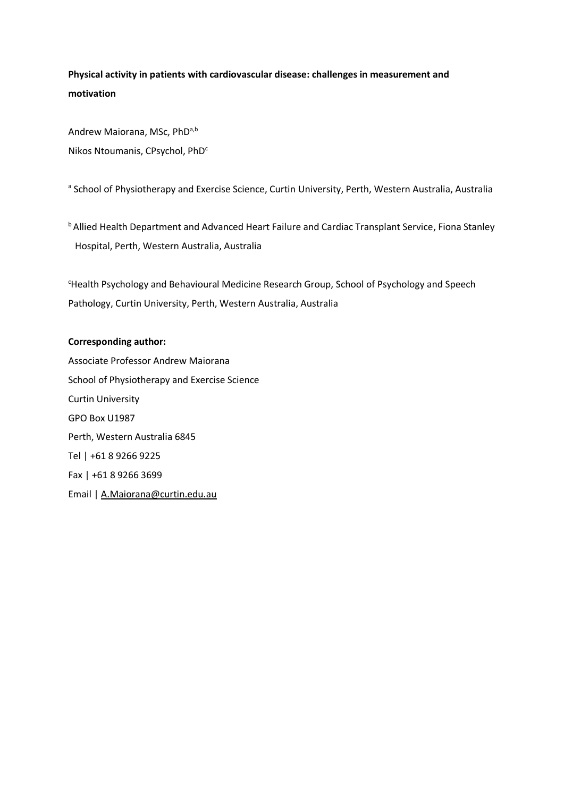**Physical activity in patients with cardiovascular disease: challenges in measurement and motivation**

Andrew Maiorana, MSc, PhD<sup>a,b</sup> Nikos Ntoumanis, CPsychol, PhD<sup>c</sup>

<sup>a</sup> School of Physiotherapy and Exercise Science, Curtin University, Perth, Western Australia, Australia

**b Allied Health Department and Advanced Heart Failure and Cardiac Transplant Service, Fiona Stanley** Hospital, Perth, Western Australia, Australia

<sup>c</sup>Health Psychology and Behavioural Medicine Research Group, School of Psychology and Speech Pathology, Curtin University, Perth, Western Australia, Australia

## **Corresponding author:**

Associate Professor Andrew Maiorana School of Physiotherapy and Exercise Science Curtin University GPO Box U1987 Perth, Western Australia 6845 Tel | +61 8 9266 9225 Fax | +61 8 9266 3699 Email [| A.Maiorana@curtin.edu.au](mailto:A.Maiorana@curtin.edu.au)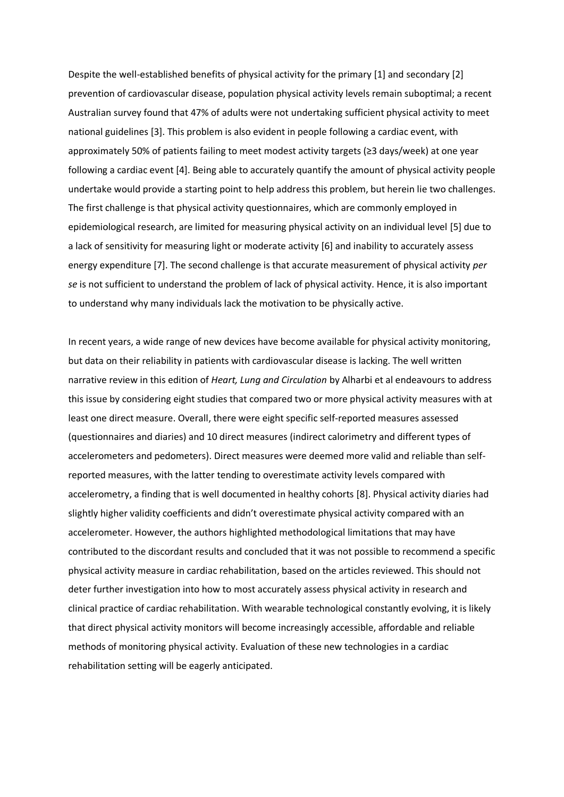Despite the well-established benefits of physical activity for the primary [1] and secondary [2] prevention of cardiovascular disease, population physical activity levels remain suboptimal; a recent Australian survey found that 47% of adults were not undertaking sufficient physical activity to meet national guidelines [3]. This problem is also evident in people following a cardiac event, with approximately 50% of patients failing to meet modest activity targets (≥3 days/week) at one year following a cardiac event [4]. Being able to accurately quantify the amount of physical activity people undertake would provide a starting point to help address this problem, but herein lie two challenges. The first challenge is that physical activity questionnaires, which are commonly employed in epidemiological research, are limited for measuring physical activity on an individual level [5] due to a lack of sensitivity for measuring light or moderate activity [6] and inability to accurately assess energy expenditure [7]. The second challenge is that accurate measurement of physical activity *per se* is not sufficient to understand the problem of lack of physical activity. Hence, it is also important to understand why many individuals lack the motivation to be physically active.

In recent years, a wide range of new devices have become available for physical activity monitoring, but data on their reliability in patients with cardiovascular disease is lacking. The well written narrative review in this edition of *Heart, Lung and Circulation* by Alharbi et al endeavours to address this issue by considering eight studies that compared two or more physical activity measures with at least one direct measure. Overall, there were eight specific self-reported measures assessed (questionnaires and diaries) and 10 direct measures (indirect calorimetry and different types of accelerometers and pedometers). Direct measures were deemed more valid and reliable than selfreported measures, with the latter tending to overestimate activity levels compared with accelerometry, a finding that is well documented in healthy cohorts [8]. Physical activity diaries had slightly higher validity coefficients and didn't overestimate physical activity compared with an accelerometer. However, the authors highlighted methodological limitations that may have contributed to the discordant results and concluded that it was not possible to recommend a specific physical activity measure in cardiac rehabilitation, based on the articles reviewed. This should not deter further investigation into how to most accurately assess physical activity in research and clinical practice of cardiac rehabilitation. With wearable technological constantly evolving, it is likely that direct physical activity monitors will become increasingly accessible, affordable and reliable methods of monitoring physical activity. Evaluation of these new technologies in a cardiac rehabilitation setting will be eagerly anticipated.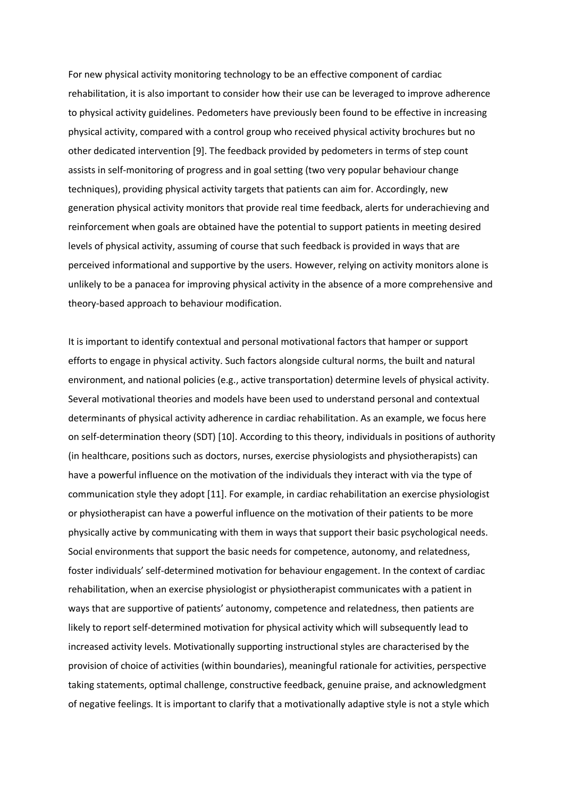For new physical activity monitoring technology to be an effective component of cardiac rehabilitation, it is also important to consider how their use can be leveraged to improve adherence to physical activity guidelines. Pedometers have previously been found to be effective in increasing physical activity, compared with a control group who received physical activity brochures but no other dedicated intervention [9]. The feedback provided by pedometers in terms of step count assists in self-monitoring of progress and in goal setting (two very popular behaviour change techniques), providing physical activity targets that patients can aim for. Accordingly, new generation physical activity monitors that provide real time feedback, alerts for underachieving and reinforcement when goals are obtained have the potential to support patients in meeting desired levels of physical activity, assuming of course that such feedback is provided in ways that are perceived informational and supportive by the users. However, relying on activity monitors alone is unlikely to be a panacea for improving physical activity in the absence of a more comprehensive and theory-based approach to behaviour modification.

It is important to identify contextual and personal motivational factors that hamper or support efforts to engage in physical activity. Such factors alongside cultural norms, the built and natural environment, and national policies (e.g., active transportation) determine levels of physical activity. Several motivational theories and models have been used to understand personal and contextual determinants of physical activity adherence in cardiac rehabilitation. As an example, we focus here on self-determination theory (SDT) [10]. According to this theory, individuals in positions of authority (in healthcare, positions such as doctors, nurses, exercise physiologists and physiotherapists) can have a powerful influence on the motivation of the individuals they interact with via the type of communication style they adopt [11]. For example, in cardiac rehabilitation an exercise physiologist or physiotherapist can have a powerful influence on the motivation of their patients to be more physically active by communicating with them in ways that support their basic psychological needs. Social environments that support the basic needs for competence, autonomy, and relatedness, foster individuals' self-determined motivation for behaviour engagement. In the context of cardiac rehabilitation, when an exercise physiologist or physiotherapist communicates with a patient in ways that are supportive of patients' autonomy, competence and relatedness, then patients are likely to report self-determined motivation for physical activity which will subsequently lead to increased activity levels. Motivationally supporting instructional styles are characterised by the provision of choice of activities (within boundaries), meaningful rationale for activities, perspective taking statements, optimal challenge, constructive feedback, genuine praise, and acknowledgment of negative feelings. It is important to clarify that a motivationally adaptive style is not a style which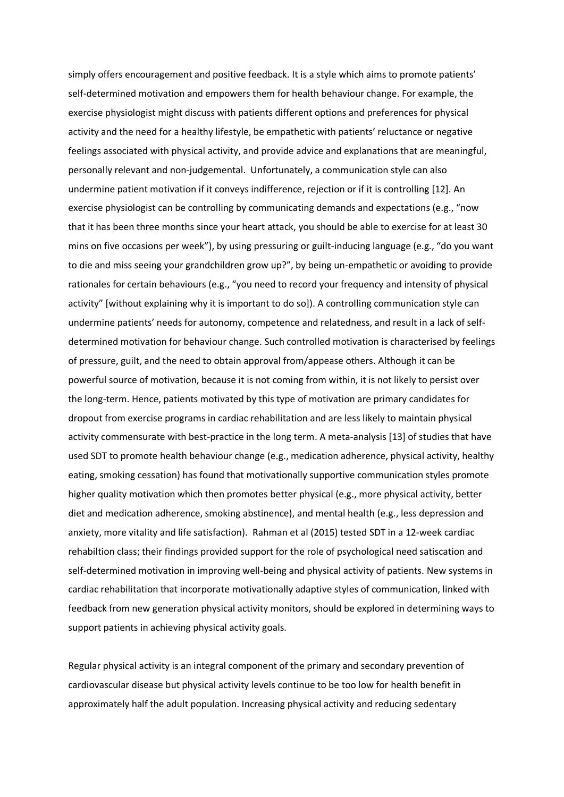simply offers encouragement and positive feedback. It is a style which aims to promote patients' self-determined motivation and empowers them for health behaviour change. For example, the exercise physiologist might discuss with patients different options and preferences for physical activity and the need for a healthy lifestyle, be empathetic with patients' reluctance or negative feelings associated with physical activity, and provide advice and explanations that are meaningful, personally relevant and non-judgemental. Unfortunately, a communication style can also undermine patient motivation if it conveys indifference, rejection or if it is controlling [12]. An exercise physiologist can be controlling by communicating demands and expectations (e.g., "now that it has been three months since your heart attack, you should be able to exercise for at least 30 mins on five occasions per week"), by using pressuring or guilt-inducing language (e.g., "do you want to die and miss seeing your grandchildren grow up?", by being un-empathetic or avoiding to provide rationales for certain behaviours (e.g., "you need to record your frequency and intensity of physical activity" [without explaining why it is important to do so]). A controlling communication style can undermine patients' needs for autonomy, competence and relatedness, and result in a lack of selfdetermined motivation for behaviour change. Such controlled motivation is characterised by feelings of pressure, guilt, and the need to obtain approval from/appease others. Although it can be powerful source of motivation, because it is not coming from within, it is not likely to persist over the long-term. Hence, patients motivated by this type of motivation are primary candidates for dropout from exercise programs in cardiac rehabilitation and are less likely to maintain physical activity commensurate with best-practice in the long term. A meta-analysis [13] of studies that have used SDT to promote health behaviour change (e.g., medication adherence, physical activity, healthy eating, smoking cessation) has found that motivationally supportive communication styles promote higher quality motivation which then promotes better physical (e.g., more physical activity, better diet and medication adherence, smoking abstinence), and mental health (e.g., less depression and anxiety, more vitality and life satisfaction). Rahman et al (2015) tested SDT in a 12-week cardiac rehabiltion class; their findings provided support for the role of psychological need satiscation and self-determined motivation in improving well-being and physical activity of patients. New systems in cardiac rehabilitation that incorporate motivationally adaptive styles of communication, linked with feedback from new generation physical activity monitors, should be explored in determining ways to support patients in achieving physical activity goals.

Regular physical activity is an integral component of the primary and secondary prevention of cardiovascular disease but physical activity levels continue to be too low for health benefit in approximately half the adult population. Increasing physical activity and reducing sedentary